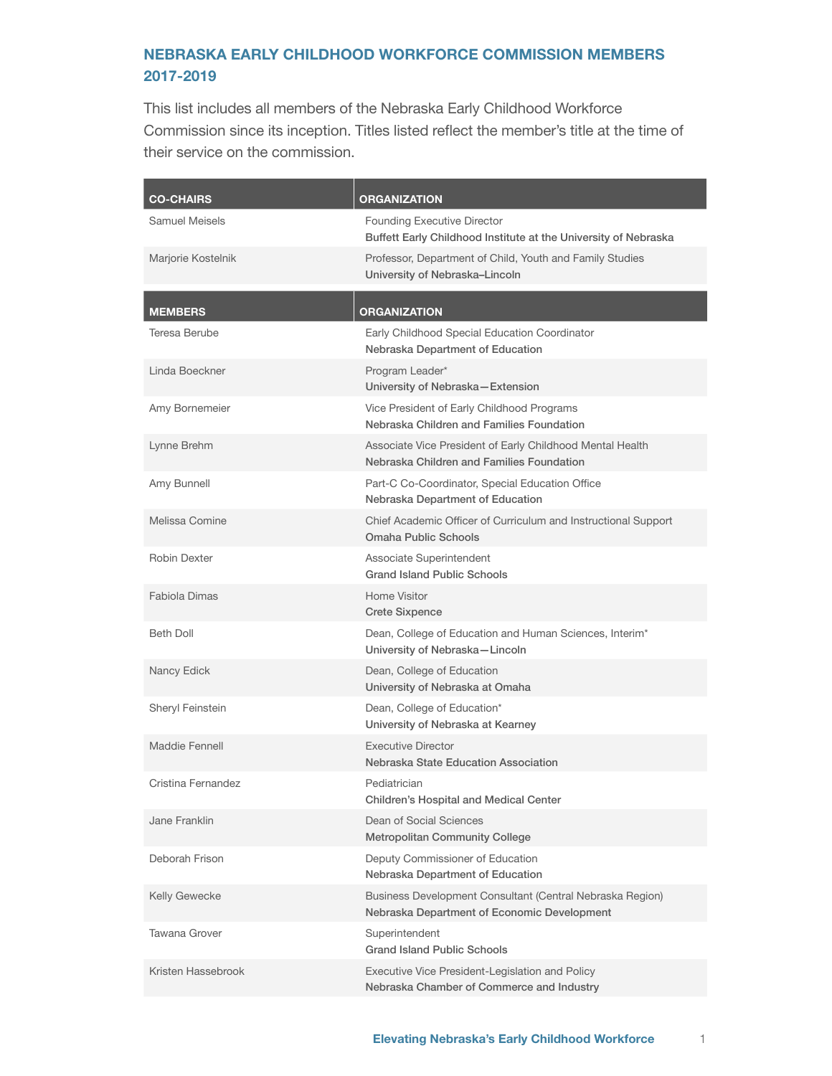## NEBRASKA EARLY CHILDHOOD WORKFORCE COMMISSION MEMBERS 2017-2019

This list includes all members of the Nebraska Early Childhood Workforce Commission since its inception. Titles listed reflect the member's title at the time of their service on the commission.

| <b>CO-CHAIRS</b>   | <b>ORGANIZATION</b>                                                                                      |
|--------------------|----------------------------------------------------------------------------------------------------------|
| Samuel Meisels     | <b>Founding Executive Director</b><br>Buffett Early Childhood Institute at the University of Nebraska    |
| Marjorie Kostelnik | Professor, Department of Child, Youth and Family Studies<br>University of Nebraska-Lincoln               |
| <b>MEMBERS</b>     | ORGANIZATION                                                                                             |
| Teresa Berube      | Early Childhood Special Education Coordinator<br>Nebraska Department of Education                        |
| Linda Boeckner     | Program Leader*<br>University of Nebraska-Extension                                                      |
| Amy Bornemeier     | Vice President of Early Childhood Programs<br>Nebraska Children and Families Foundation                  |
| Lynne Brehm        | Associate Vice President of Early Childhood Mental Health<br>Nebraska Children and Families Foundation   |
| Amy Bunnell        | Part-C Co-Coordinator, Special Education Office<br>Nebraska Department of Education                      |
| Melissa Comine     | Chief Academic Officer of Curriculum and Instructional Support<br>Omaha Public Schools                   |
| Robin Dexter       | Associate Superintendent<br><b>Grand Island Public Schools</b>                                           |
| Fabiola Dimas      | Home Visitor<br><b>Crete Sixpence</b>                                                                    |
| <b>Beth Doll</b>   | Dean, College of Education and Human Sciences, Interim*<br>University of Nebraska-Lincoln                |
| Nancy Edick        | Dean, College of Education<br>University of Nebraska at Omaha                                            |
| Sheryl Feinstein   | Dean, College of Education*<br>University of Nebraska at Kearney                                         |
| Maddie Fennell     | <b>Executive Director</b><br>Nebraska State Education Association                                        |
| Cristina Fernandez | Pediatrician<br><b>Children's Hospital and Medical Center</b>                                            |
| Jane Franklin      | Dean of Social Sciences<br><b>Metropolitan Community College</b>                                         |
| Deborah Frison     | Deputy Commissioner of Education<br>Nebraska Department of Education                                     |
| Kelly Gewecke      | Business Development Consultant (Central Nebraska Region)<br>Nebraska Department of Economic Development |
| Tawana Grover      | Superintendent<br><b>Grand Island Public Schools</b>                                                     |
| Kristen Hassebrook | Executive Vice President-Legislation and Policy<br>Nebraska Chamber of Commerce and Industry             |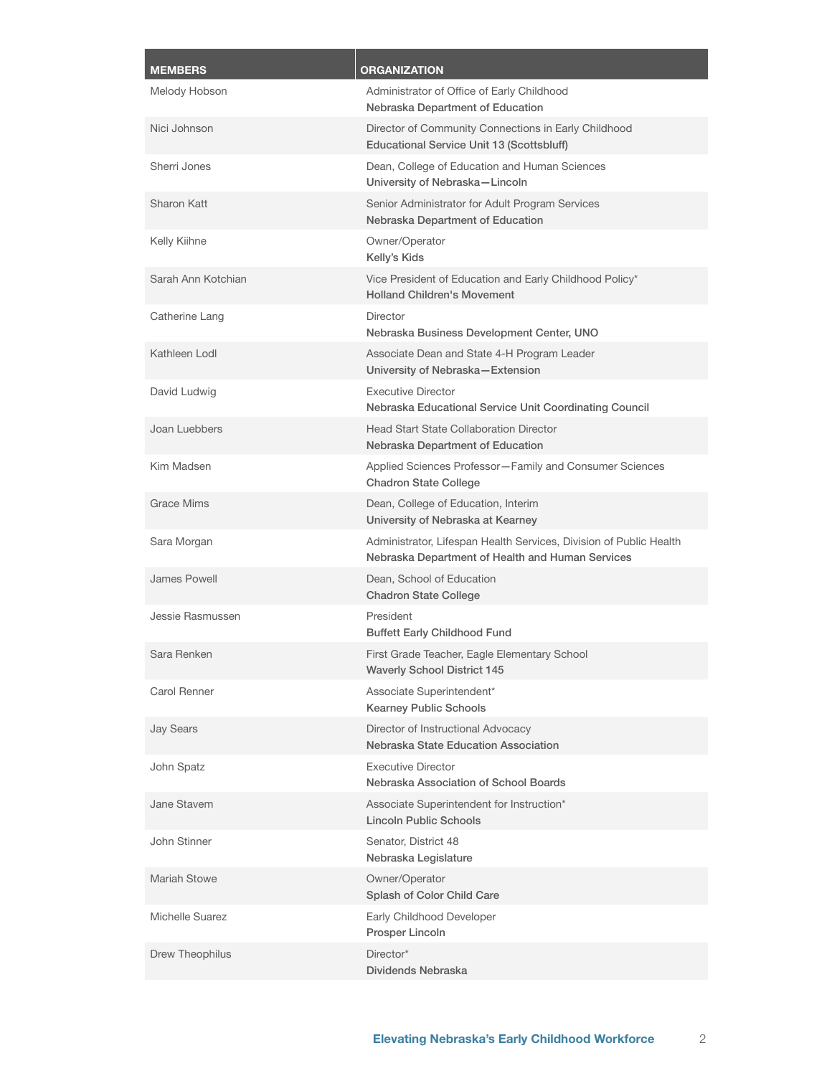| <b>MEMBERS</b>     | <b>ORGANIZATION</b>                                                                                                    |
|--------------------|------------------------------------------------------------------------------------------------------------------------|
| Melody Hobson      | Administrator of Office of Early Childhood<br>Nebraska Department of Education                                         |
| Nici Johnson       | Director of Community Connections in Early Childhood<br>Educational Service Unit 13 (Scottsbluff)                      |
| Sherri Jones       | Dean, College of Education and Human Sciences<br>University of Nebraska-Lincoln                                        |
| Sharon Katt        | Senior Administrator for Adult Program Services<br>Nebraska Department of Education                                    |
| Kelly Kiihne       | Owner/Operator<br>Kelly's Kids                                                                                         |
| Sarah Ann Kotchian | Vice President of Education and Early Childhood Policy*<br><b>Holland Children's Movement</b>                          |
| Catherine Lang     | Director<br>Nebraska Business Development Center, UNO                                                                  |
| Kathleen Lodl      | Associate Dean and State 4-H Program Leader<br>University of Nebraska-Extension                                        |
| David Ludwig       | <b>Executive Director</b><br>Nebraska Educational Service Unit Coordinating Council                                    |
| Joan Luebbers      | <b>Head Start State Collaboration Director</b><br>Nebraska Department of Education                                     |
| Kim Madsen         | Applied Sciences Professor-Family and Consumer Sciences<br><b>Chadron State College</b>                                |
| <b>Grace Mims</b>  | Dean, College of Education, Interim<br>University of Nebraska at Kearney                                               |
| Sara Morgan        | Administrator, Lifespan Health Services, Division of Public Health<br>Nebraska Department of Health and Human Services |
| James Powell       | Dean, School of Education<br><b>Chadron State College</b>                                                              |
| Jessie Rasmussen   | President<br><b>Buffett Early Childhood Fund</b>                                                                       |
| Sara Renken        | First Grade Teacher, Eagle Elementary School<br><b>Waverly School District 145</b>                                     |
| Carol Renner       | Associate Superintendent*<br><b>Kearney Public Schools</b>                                                             |
| <b>Jay Sears</b>   | Director of Instructional Advocacy<br>Nebraska State Education Association                                             |
| John Spatz         | <b>Executive Director</b><br>Nebraska Association of School Boards                                                     |
| Jane Stavem        | Associate Superintendent for Instruction*<br>Lincoln Public Schools                                                    |
| John Stinner       | Senator, District 48<br>Nebraska Legislature                                                                           |
| Mariah Stowe       | Owner/Operator<br>Splash of Color Child Care                                                                           |
| Michelle Suarez    | Early Childhood Developer<br>Prosper Lincoln                                                                           |
| Drew Theophilus    | Director*<br>Dividends Nebraska                                                                                        |